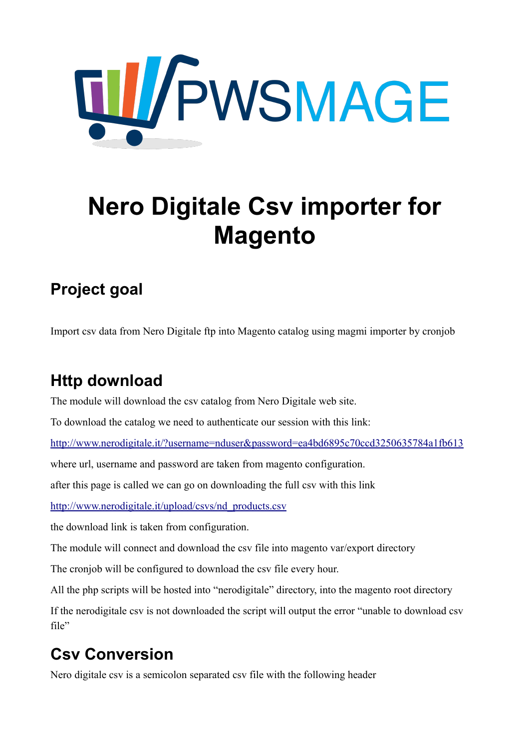

# **Nero Digitale Csv importer for Magento**

# **Project goal**

Import csv data from Nero Digitale ftp into Magento catalog using magmi importer by cronjob

# **Http download**

The module will download the csv catalog from Nero Digitale web site.

To download the catalog we need to authenticate our session with this link:

<http://www.nerodigitale.it/?username=nduser&password=ea4bd6895c70ccd3250635784a1fb613>

where url, username and password are taken from magento configuration.

after this page is called we can go on downloading the full csv with this link

[http://www.nerodigitale.it/upload/csvs/nd\\_products.csv](http://www.nerodigitale.it/upload/csvs/nd_products.csv)

the download link is taken from configuration.

The module will connect and download the csv file into magento var/export directory

The cronjob will be configured to download the csv file every hour.

All the php scripts will be hosted into "nerodigitale" directory, into the magento root directory

If the nerodigitale csv is not downloaded the script will output the error "unable to download csv file"

# **Csv Conversion**

Nero digitale csv is a semicolon separated csv file with the following header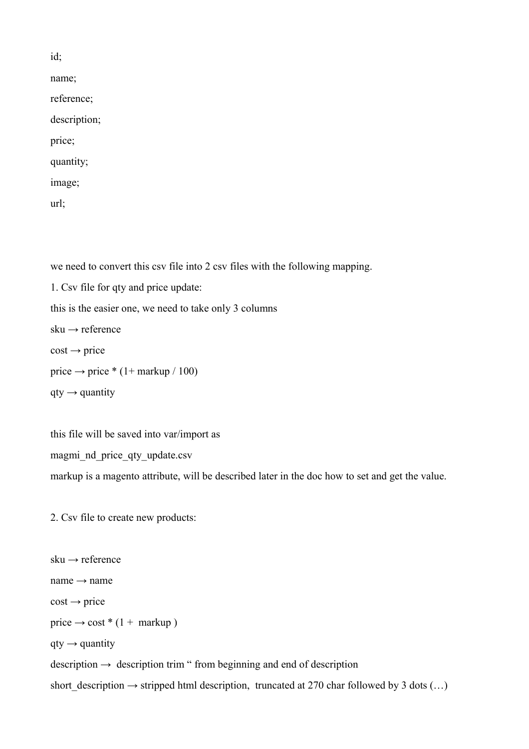id; name; reference; description; price; quantity; image;

url;

we need to convert this csv file into 2 csv files with the following mapping.

1. Csv file for qty and price update: this is the easier one, we need to take only 3 columns sku → reference  $cost \rightarrow price$ price  $\rightarrow$  price \* (1+ markup / 100)  $qty \rightarrow$  quantity

this file will be saved into var/import as magmi nd price qty update.csv markup is a magento attribute, will be described later in the doc how to set and get the value.

2. Csv file to create new products:

sku  $\rightarrow$  reference  $name \rightarrow name$  $cost \rightarrow price$  $price \rightarrow cost * (1 + markup)$  $qty \rightarrow$  quantity  $description \rightarrow description trim$  " from beginning and end of description short\_description  $\rightarrow$  stripped html description, truncated at 270 char followed by 3 dots (...)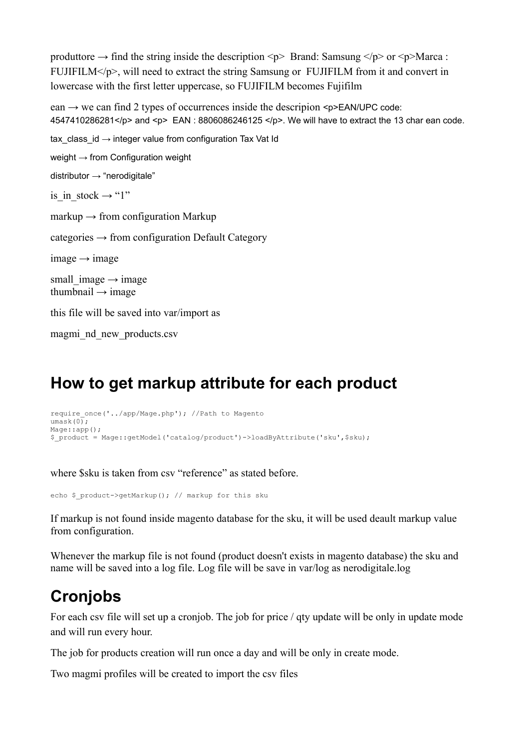produttore  $\rightarrow$  find the string inside the description  $\langle p \rangle$  Brand: Samsung  $\langle p \rangle$  or  $\langle p \rangle$ Marca : FUJIFILM $\langle p \rangle$ , will need to extract the string Samsung or FUJIFILM from it and convert in lowercase with the first letter uppercase, so FUJIFILM becomes Fujifilm

 $ean \rightarrow we can find 2 types of occurrences inside the description SPEAN/UPC code$ 4547410286281</p> and <p> EAN : 8806086246125 </p>. We will have to extract the 13 char ean code. tax class  $id \rightarrow$  integer value from configuration Tax Vat Id weight  $\rightarrow$  from Configuration weight distributor  $\rightarrow$  "nerodigitale" is in stock  $\rightarrow$  "1" markup  $\rightarrow$  from configuration Markup  $categories \rightarrow from configuration Default Category$  $image \rightarrow image$ small image  $\rightarrow$  image thumbnail  $\rightarrow$  image this file will be saved into var/import as

magmi\_nd\_new\_products.csv

#### **How to get markup attribute for each product**

```
require_once('../app/Mage.php'); //Path to Magento
umask(0);
Mage::app();
$_product = Mage::getModel('catalog/product')->loadByAttribute('sku',$sku);
```
where \$sku is taken from csy "reference" as stated before.

echo \$ product->getMarkup(); // markup for this sku

If markup is not found inside magento database for the sku, it will be used deault markup value from configuration.

Whenever the markup file is not found (product doesn't exists in magento database) the sku and name will be saved into a log file. Log file will be save in var/log as nerodigitale.log

#### **Cronjobs**

For each csv file will set up a cronjob. The job for price / qty update will be only in update mode and will run every hour.

The job for products creation will run once a day and will be only in create mode.

Two magmi profiles will be created to import the csv files